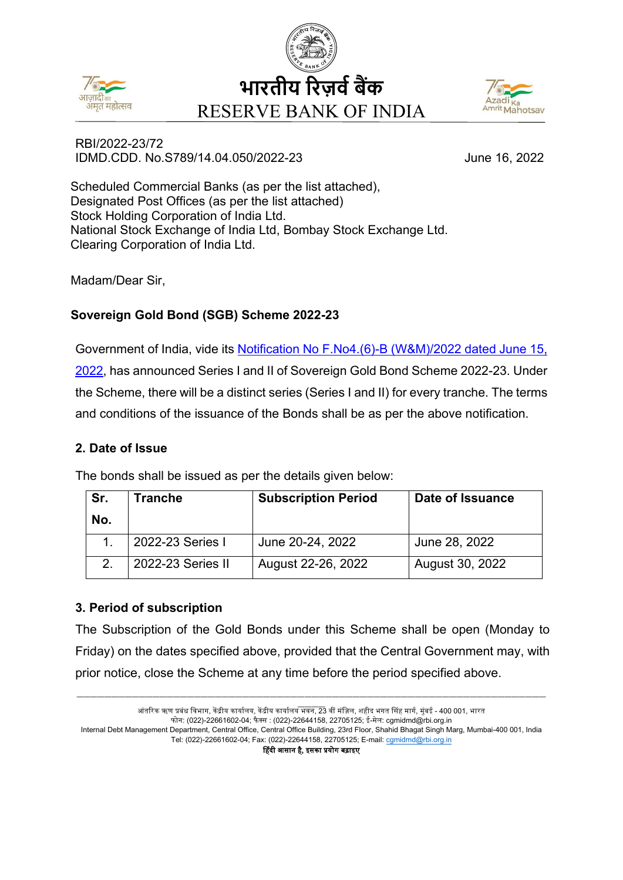





### RBI/2022-23/72 IDMD.CDD. No.S789/14.04.050/2022-23 June 16, 2022

Scheduled Commercial Banks (as per the list attached), Designated Post Offices (as per the list attached) Stock Holding Corporation of India Ltd. National Stock Exchange of India Ltd, Bombay Stock Exchange Ltd. Clearing Corporation of India Ltd.

Madam/Dear Sir,

# **Sovereign Gold Bond (SGB) Scheme 2022-23**

Government of India, vide its [Notification No F.No4.\(6\)-B \(W&M\)/2022](https://rbidocs.rbi.org.in/rdocs/content/pdfs/SGB20222316062022_E.pdf) dated June 15, [2022,](https://rbidocs.rbi.org.in/rdocs/content/pdfs/SGB20222316062022_E.pdf) has announced Series I and II of Sovereign Gold Bond Scheme 2022-23. Under the Scheme, there will be a distinct series (Series I and II) for every tranche. The terms and conditions of the issuance of the Bonds shall be as per the above notification.

# **2. Date of Issue**

The bonds shall be issued as per the details given below:

| Sr. | Tranche           | <b>Subscription Period</b> | Date of Issuance |
|-----|-------------------|----------------------------|------------------|
| No. |                   |                            |                  |
|     | 2022-23 Series I  | June 20-24, 2022           | June 28, 2022    |
|     | 2022-23 Series II | August 22-26, 2022         | August 30, 2022  |

# **3. Period of subscription**

The Subscription of the Gold Bonds under this Scheme shall be open (Monday to Friday) on the dates specified above, provided that the Central Government may, with prior notice, close the Scheme at any time before the period specified above.

आंतरिक ऋण प्रबंध विभाग, केंद्रीय कार्यालय, केंद्रीय कार्यालय भवन, 23 वीं मंज़िल, शहीद भगत सिंह मार्ग, मुंबई - 400 001, भारत फोन: (022)-22661602-04; फै क्स : (022)-22644158, 22705125; ई-मेल: cgmidmd@rbi.org.in Internal Debt Management Department, Central Office, Central Office Building, 23rd Floor, Shahid Bhagat Singh Marg, Mumbai-400 001, India Tel: (022)-22661602-04; Fax: (022)-22644158, 22705125; E-mail: [cgmidmd@rbi.org.in](mailto:cgmidmd@rbi.org.in) �हंदी आसान है, इसका �योग बढ़ाइए